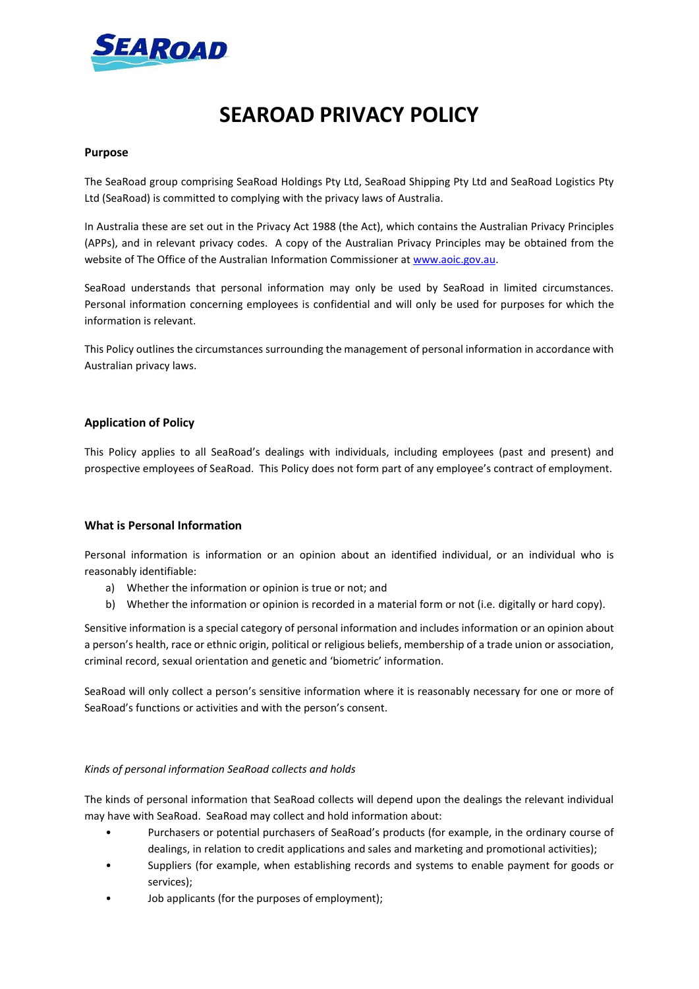

# **SEAROAD PRIVACY POLICY**

## **Purpose**

The SeaRoad group comprising SeaRoad Holdings Pty Ltd, SeaRoad Shipping Pty Ltd and SeaRoad Logistics Pty Ltd (SeaRoad) is committed to complying with the privacy laws of Australia.

In Australia these are set out in the Privacy Act 1988 (the Act), which contains the Australian Privacy Principles (APPs), and in relevant privacy codes. A copy of the Australian Privacy Principles may be obtained from the website of The Office of the Australian Information Commissioner at [www.aoic.gov.au.](http://www.aoic.gov.au/)

SeaRoad understands that personal information may only be used by SeaRoad in limited circumstances. Personal information concerning employees is confidential and will only be used for purposes for which the information is relevant.

This Policy outlines the circumstances surrounding the management of personal information in accordance with Australian privacy laws.

## **Application of Policy**

This Policy applies to all SeaRoad's dealings with individuals, including employees (past and present) and prospective employees of SeaRoad. This Policy does not form part of any employee's contract of employment.

## **What is Personal Information**

Personal information is information or an opinion about an identified individual, or an individual who is reasonably identifiable:

- a) Whether the information or opinion is true or not; and
- b) Whether the information or opinion is recorded in a material form or not (i.e. digitally or hard copy).

Sensitive information is a special category of personal information and includes information or an opinion about a person's health, race or ethnic origin, political or religious beliefs, membership of a trade union or association, criminal record, sexual orientation and genetic and 'biometric' information.

SeaRoad will only collect a person's sensitive information where it is reasonably necessary for one or more of SeaRoad's functions or activities and with the person's consent.

## *Kinds of personal information SeaRoad collects and holds*

The kinds of personal information that SeaRoad collects will depend upon the dealings the relevant individual may have with SeaRoad. SeaRoad may collect and hold information about:

- Purchasers or potential purchasers of SeaRoad's products (for example, in the ordinary course of dealings, in relation to credit applications and sales and marketing and promotional activities);
- Suppliers (for example, when establishing records and systems to enable payment for goods or services);
- Job applicants (for the purposes of employment);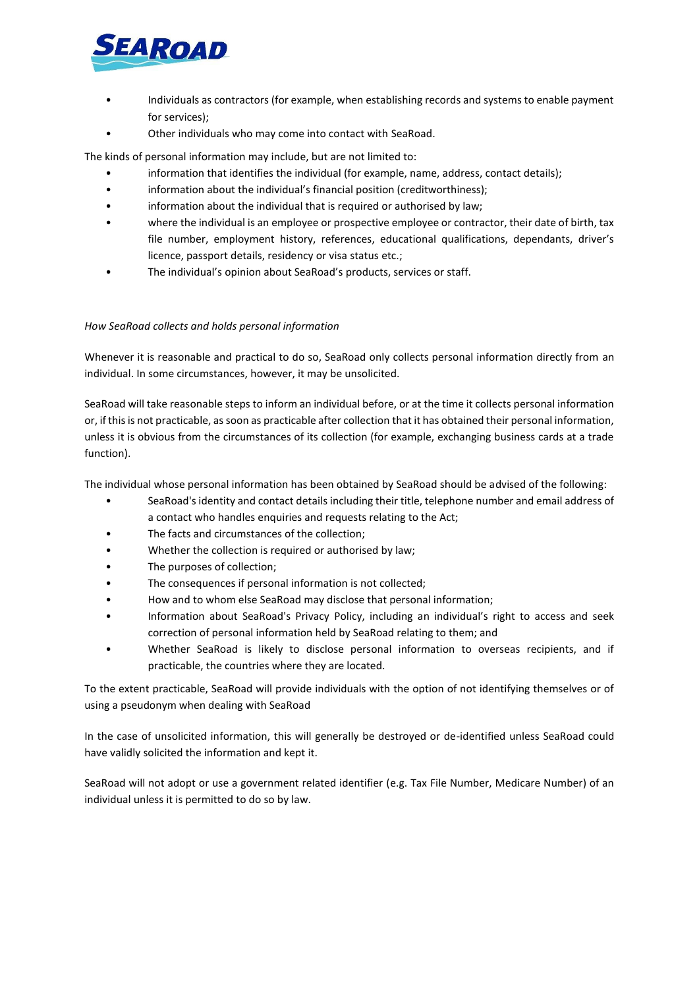

- Individuals as contractors (for example, when establishing records and systems to enable payment for services);
- Other individuals who may come into contact with SeaRoad.

The kinds of personal information may include, but are not limited to:

- information that identifies the individual (for example, name, address, contact details);
- information about the individual's financial position (creditworthiness);
- information about the individual that is required or authorised by law;
- where the individual is an employee or prospective employee or contractor, their date of birth, tax file number, employment history, references, educational qualifications, dependants, driver's licence, passport details, residency or visa status etc.;
- The individual's opinion about SeaRoad's products, services or staff.

## *How SeaRoad collects and holds personal information*

Whenever it is reasonable and practical to do so, SeaRoad only collects personal information directly from an individual. In some circumstances, however, it may be unsolicited.

SeaRoad will take reasonable steps to inform an individual before, or at the time it collects personal information or, if this is not practicable, as soon as practicable after collection that it has obtained their personal information, unless it is obvious from the circumstances of its collection (for example, exchanging business cards at a trade function).

The individual whose personal information has been obtained by SeaRoad should be advised of the following:

- SeaRoad's identity and contact details including their title, telephone number and email address of a contact who handles enquiries and requests relating to the Act;
- The facts and circumstances of the collection;
- Whether the collection is required or authorised by law;
- The purposes of collection;
- The consequences if personal information is not collected;
- How and to whom else SeaRoad may disclose that personal information;
- Information about SeaRoad's Privacy Policy, including an individual's right to access and seek correction of personal information held by SeaRoad relating to them; and
- Whether SeaRoad is likely to disclose personal information to overseas recipients, and if practicable, the countries where they are located.

To the extent practicable, SeaRoad will provide individuals with the option of not identifying themselves or of using a pseudonym when dealing with SeaRoad

In the case of unsolicited information, this will generally be destroyed or de-identified unless SeaRoad could have validly solicited the information and kept it.

SeaRoad will not adopt or use a government related identifier (e.g. Tax File Number, Medicare Number) of an individual unless it is permitted to do so by law.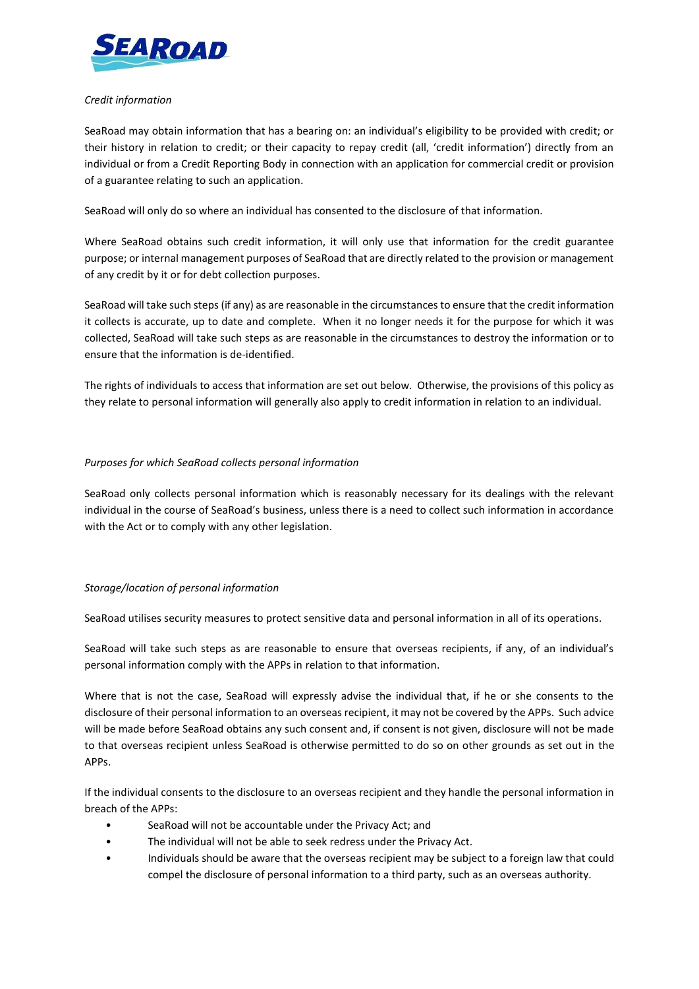

## *Credit information*

SeaRoad may obtain information that has a bearing on: an individual's eligibility to be provided with credit; or their history in relation to credit; or their capacity to repay credit (all, 'credit information') directly from an individual or from a Credit Reporting Body in connection with an application for commercial credit or provision of a guarantee relating to such an application.

SeaRoad will only do so where an individual has consented to the disclosure of that information.

Where SeaRoad obtains such credit information, it will only use that information for the credit guarantee purpose; or internal management purposes of SeaRoad that are directly related to the provision or management of any credit by it or for debt collection purposes.

SeaRoad will take such steps (if any) as are reasonable in the circumstances to ensure that the credit information it collects is accurate, up to date and complete. When it no longer needs it for the purpose for which it was collected, SeaRoad will take such steps as are reasonable in the circumstances to destroy the information or to ensure that the information is de-identified.

The rights of individuals to access that information are set out below. Otherwise, the provisions of this policy as they relate to personal information will generally also apply to credit information in relation to an individual.

## *Purposes for which SeaRoad collects personal information*

SeaRoad only collects personal information which is reasonably necessary for its dealings with the relevant individual in the course of SeaRoad's business, unless there is a need to collect such information in accordance with the Act or to comply with any other legislation.

## *Storage/location of personal information*

SeaRoad utilises security measures to protect sensitive data and personal information in all of its operations.

SeaRoad will take such steps as are reasonable to ensure that overseas recipients, if any, of an individual's personal information comply with the APPs in relation to that information.

Where that is not the case, SeaRoad will expressly advise the individual that, if he or she consents to the disclosure of their personal information to an overseas recipient, it may not be covered by the APPs. Such advice will be made before SeaRoad obtains any such consent and, if consent is not given, disclosure will not be made to that overseas recipient unless SeaRoad is otherwise permitted to do so on other grounds as set out in the APPs.

If the individual consents to the disclosure to an overseas recipient and they handle the personal information in breach of the APPs:

- SeaRoad will not be accountable under the Privacy Act; and
- The individual will not be able to seek redress under the Privacy Act.
- Individuals should be aware that the overseas recipient may be subject to a foreign law that could compel the disclosure of personal information to a third party, such as an overseas authority.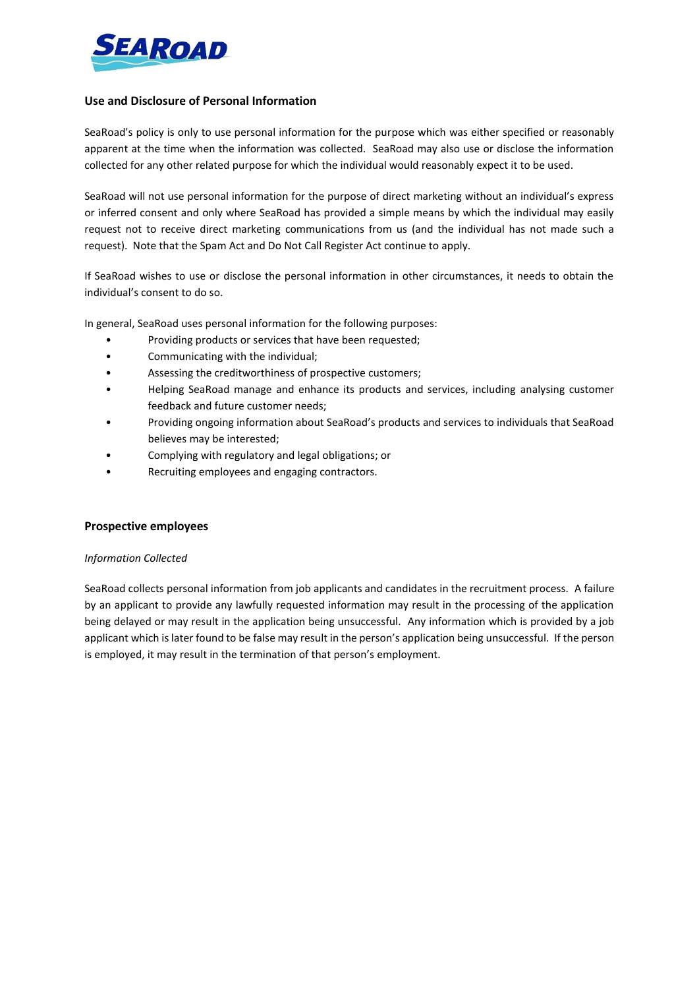

## **Use and Disclosure of Personal Information**

SeaRoad's policy is only to use personal information for the purpose which was either specified or reasonably apparent at the time when the information was collected. SeaRoad may also use or disclose the information collected for any other related purpose for which the individual would reasonably expect it to be used.

SeaRoad will not use personal information for the purpose of direct marketing without an individual's express or inferred consent and only where SeaRoad has provided a simple means by which the individual may easily request not to receive direct marketing communications from us (and the individual has not made such a request). Note that the Spam Act and Do Not Call Register Act continue to apply.

If SeaRoad wishes to use or disclose the personal information in other circumstances, it needs to obtain the individual's consent to do so.

In general, SeaRoad uses personal information for the following purposes:

- Providing products or services that have been requested;
- Communicating with the individual;
- Assessing the creditworthiness of prospective customers;
- Helping SeaRoad manage and enhance its products and services, including analysing customer feedback and future customer needs;
- Providing ongoing information about SeaRoad's products and services to individuals that SeaRoad believes may be interested;
- Complying with regulatory and legal obligations; or
- Recruiting employees and engaging contractors.

## **Prospective employees**

## *Information Collected*

SeaRoad collects personal information from job applicants and candidates in the recruitment process. A failure by an applicant to provide any lawfully requested information may result in the processing of the application being delayed or may result in the application being unsuccessful. Any information which is provided by a job applicant which is later found to be false may result in the person's application being unsuccessful. If the person is employed, it may result in the termination of that person's employment.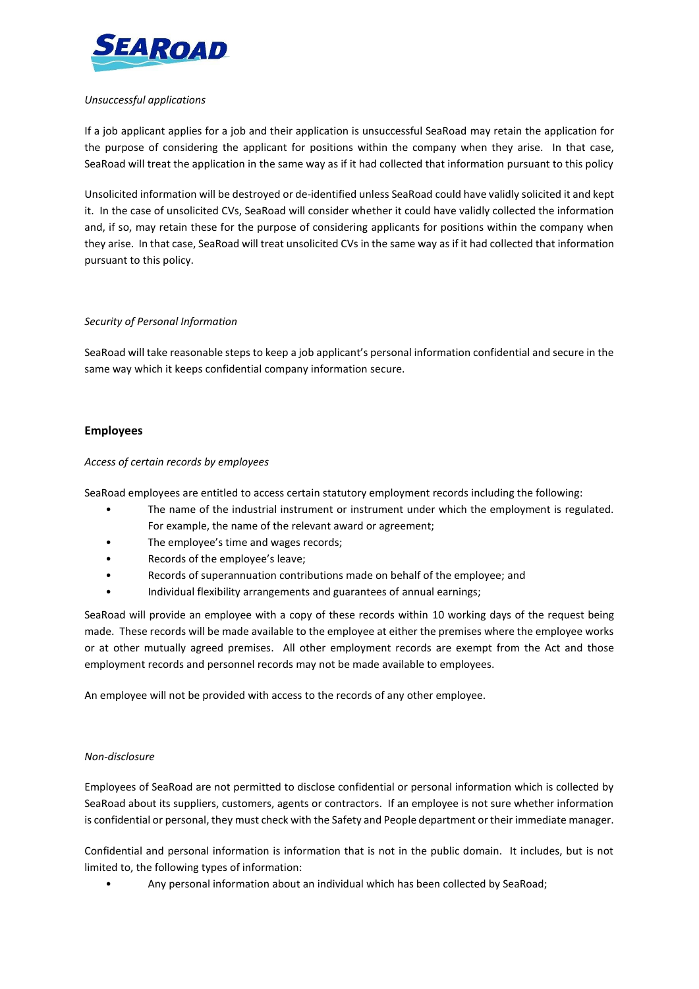

## *Unsuccessful applications*

If a job applicant applies for a job and their application is unsuccessful SeaRoad may retain the application for the purpose of considering the applicant for positions within the company when they arise. In that case, SeaRoad will treat the application in the same way as if it had collected that information pursuant to this policy

Unsolicited information will be destroyed or de-identified unless SeaRoad could have validly solicited it and kept it. In the case of unsolicited CVs, SeaRoad will consider whether it could have validly collected the information and, if so, may retain these for the purpose of considering applicants for positions within the company when they arise. In that case, SeaRoad will treat unsolicited CVs in the same way as if it had collected that information pursuant to this policy.

## *Security of Personal Information*

SeaRoad will take reasonable steps to keep a job applicant's personal information confidential and secure in the same way which it keeps confidential company information secure.

## **Employees**

## *Access of certain records by employees*

SeaRoad employees are entitled to access certain statutory employment records including the following:

- The name of the industrial instrument or instrument under which the employment is regulated. For example, the name of the relevant award or agreement;
- The employee's time and wages records;
- Records of the employee's leave;
- Records of superannuation contributions made on behalf of the employee; and
- Individual flexibility arrangements and guarantees of annual earnings;

SeaRoad will provide an employee with a copy of these records within 10 working days of the request being made. These records will be made available to the employee at either the premises where the employee works or at other mutually agreed premises. All other employment records are exempt from the Act and those employment records and personnel records may not be made available to employees.

An employee will not be provided with access to the records of any other employee.

## *Non-disclosure*

Employees of SeaRoad are not permitted to disclose confidential or personal information which is collected by SeaRoad about its suppliers, customers, agents or contractors. If an employee is not sure whether information is confidential or personal, they must check with the Safety and People department or their immediate manager.

Confidential and personal information is information that is not in the public domain. It includes, but is not limited to, the following types of information:

• Any personal information about an individual which has been collected by SeaRoad;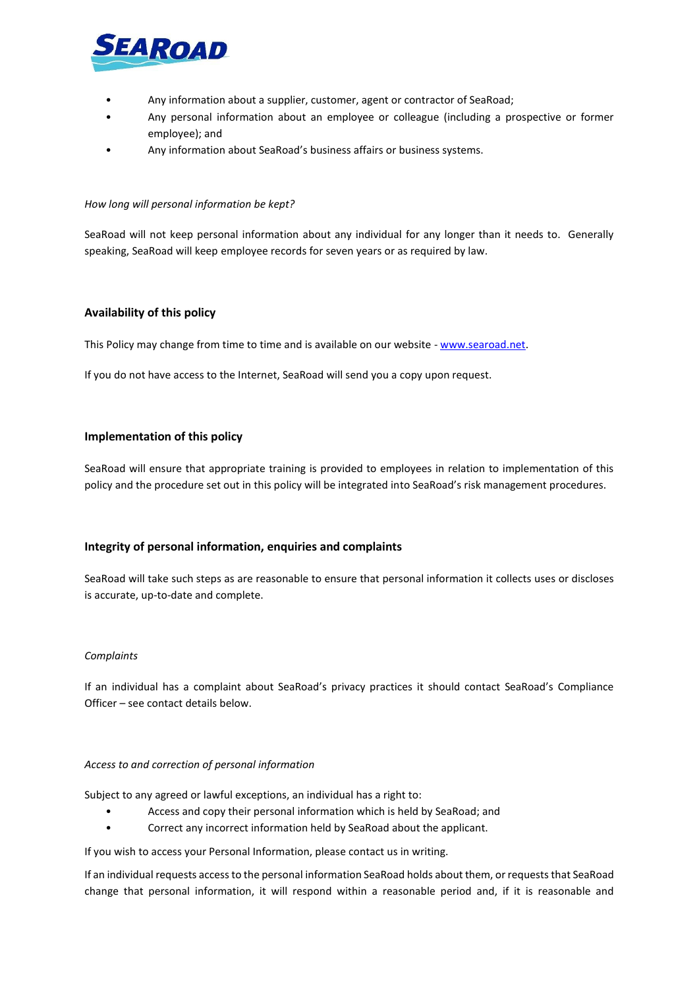

- Any information about a supplier, customer, agent or contractor of SeaRoad;
- Any personal information about an employee or colleague (including a prospective or former employee); and
- Any information about SeaRoad's business affairs or business systems.

#### *How long will personal information be kept?*

SeaRoad will not keep personal information about any individual for any longer than it needs to. Generally speaking, SeaRoad will keep employee records for seven years or as required by law.

## **Availability of this policy**

This Policy may change from time to time and is available on our website - [www.searoad.net.](http://www.searoad.net/)

If you do not have access to the Internet, SeaRoad will send you a copy upon request.

## **Implementation of this policy**

SeaRoad will ensure that appropriate training is provided to employees in relation to implementation of this policy and the procedure set out in this policy will be integrated into SeaRoad's risk management procedures.

## **Integrity of personal information, enquiries and complaints**

SeaRoad will take such steps as are reasonable to ensure that personal information it collects uses or discloses is accurate, up-to-date and complete.

#### *Complaints*

If an individual has a complaint about SeaRoad's privacy practices it should contact SeaRoad's Compliance Officer – see contact details below.

## *Access to and correction of personal information*

Subject to any agreed or lawful exceptions, an individual has a right to:

- Access and copy their personal information which is held by SeaRoad; and
- Correct any incorrect information held by SeaRoad about the applicant.

If you wish to access your Personal Information, please contact us in writing.

If an individual requests access to the personal information SeaRoad holds about them, or requests that SeaRoad change that personal information, it will respond within a reasonable period and, if it is reasonable and